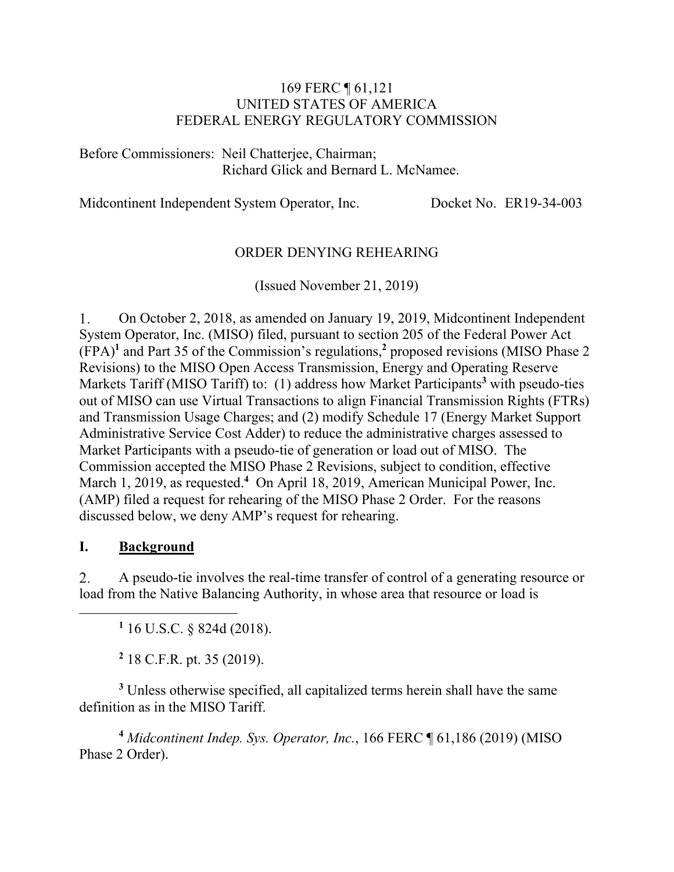### 169 FERC ¶ 61,121 UNITED STATES OF AMERICA FEDERAL ENERGY REGULATORY COMMISSION

Before Commissioners: Neil Chatterjee, Chairman; Richard Glick and Bernard L. McNamee.

Midcontinent Independent System Operator, Inc. Docket No. ER19-34-003

### ORDER DENYING REHEARING

(Issued November 21, 2019)

On October 2, 2018, as amended on January 19, 2019, Midcontinent Independent 1. System Operator, Inc. (MISO) filed, pursuant to section 205 of the Federal Power Act (FPA)**<sup>1</sup>** and Part 35 of the Commission's regulations,**<sup>2</sup>** proposed revisions (MISO Phase 2 Revisions) to the MISO Open Access Transmission, Energy and Operating Reserve Markets Tariff (MISO Tariff) to: (1) address how Market Participants<sup>3</sup> with pseudo-ties out of MISO can use Virtual Transactions to align Financial Transmission Rights (FTRs) and Transmission Usage Charges; and (2) modify Schedule 17 (Energy Market Support Administrative Service Cost Adder) to reduce the administrative charges assessed to Market Participants with a pseudo-tie of generation or load out of MISO. The Commission accepted the MISO Phase 2 Revisions, subject to condition, effective March 1, 2019, as requested.<sup>4</sup> On April 18, 2019, American Municipal Power, Inc. (AMP) filed a request for rehearing of the MISO Phase 2 Order. For the reasons discussed below, we deny AMP's request for rehearing.

#### **I. Background**

 $\overline{a}$ 

A pseudo-tie involves the real-time transfer of control of a generating resource or 2. load from the Native Balancing Authority, in whose area that resource or load is

**1** 16 U.S.C. § 824d (2018).

**2** 18 C.F.R. pt. 35 (2019).

<sup>3</sup> Unless otherwise specified, all capitalized terms herein shall have the same definition as in the MISO Tariff.

**<sup>4</sup>** *Midcontinent Indep. Sys. Operator, Inc.*, 166 FERC ¶ 61,186 (2019) (MISO Phase 2 Order).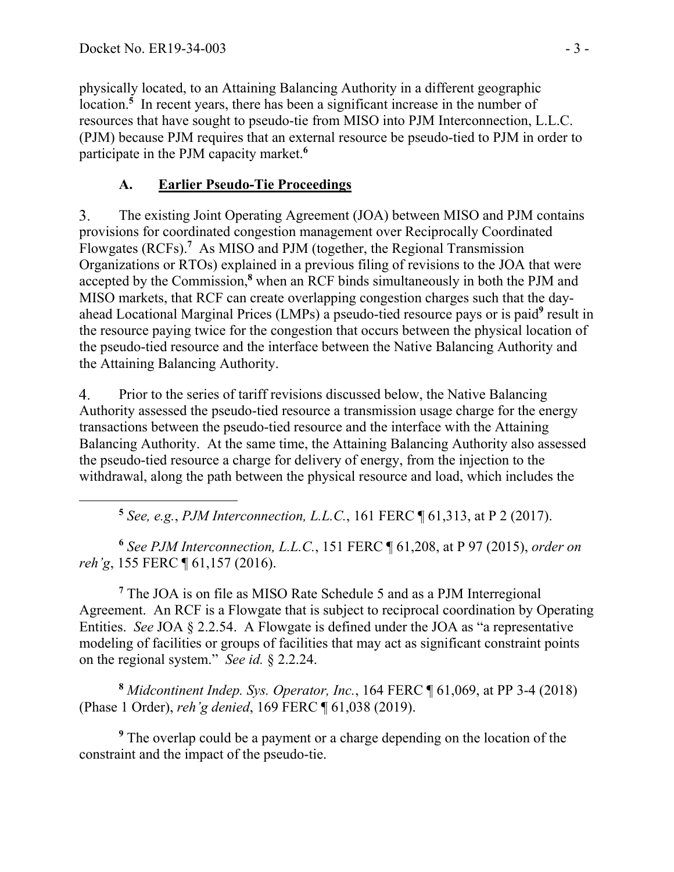$\overline{a}$ 

physically located, to an Attaining Balancing Authority in a different geographic location.<sup>5</sup> In recent years, there has been a significant increase in the number of resources that have sought to pseudo-tie from MISO into PJM Interconnection, L.L.C. (PJM) because PJM requires that an external resource be pseudo-tied to PJM in order to participate in the PJM capacity market.**<sup>6</sup>**

# **A. Earlier Pseudo-Tie Proceedings**

The existing Joint Operating Agreement (JOA) between MISO and PJM contains 3. provisions for coordinated congestion management over Reciprocally Coordinated Flowgates (RCFs).**<sup>7</sup>** As MISO and PJM (together, the Regional Transmission Organizations or RTOs) explained in a previous filing of revisions to the JOA that were accepted by the Commission,**<sup>8</sup>** when an RCF binds simultaneously in both the PJM and MISO markets, that RCF can create overlapping congestion charges such that the dayahead Locational Marginal Prices (LMPs) a pseudo-tied resource pays or is paid<sup>9</sup> result in the resource paying twice for the congestion that occurs between the physical location of the pseudo-tied resource and the interface between the Native Balancing Authority and the Attaining Balancing Authority.

4. Prior to the series of tariff revisions discussed below, the Native Balancing Authority assessed the pseudo-tied resource a transmission usage charge for the energy transactions between the pseudo-tied resource and the interface with the Attaining Balancing Authority. At the same time, the Attaining Balancing Authority also assessed the pseudo-tied resource a charge for delivery of energy, from the injection to the withdrawal, along the path between the physical resource and load, which includes the

**<sup>5</sup>** *See, e.g.*, *PJM Interconnection, L.L.C.*, 161 FERC ¶ 61,313, at P 2 (2017).

**<sup>6</sup>** *See PJM Interconnection, L.L.C.*, 151 FERC ¶ 61,208, at P 97 (2015), *order on reh'g*, 155 FERC ¶ 61,157 (2016).

<sup>7</sup> The JOA is on file as MISO Rate Schedule 5 and as a PJM Interregional Agreement. An RCF is a Flowgate that is subject to reciprocal coordination by Operating Entities. *See* JOA § 2.2.54. A Flowgate is defined under the JOA as "a representative modeling of facilities or groups of facilities that may act as significant constraint points on the regional system." *See id.* § 2.2.24.

**<sup>8</sup>** *Midcontinent Indep. Sys. Operator, Inc.*, 164 FERC ¶ 61,069, at PP 3-4 (2018) (Phase 1 Order), *reh'g denied*, 169 FERC ¶ 61,038 (2019).

<sup>9</sup> The overlap could be a payment or a charge depending on the location of the constraint and the impact of the pseudo-tie.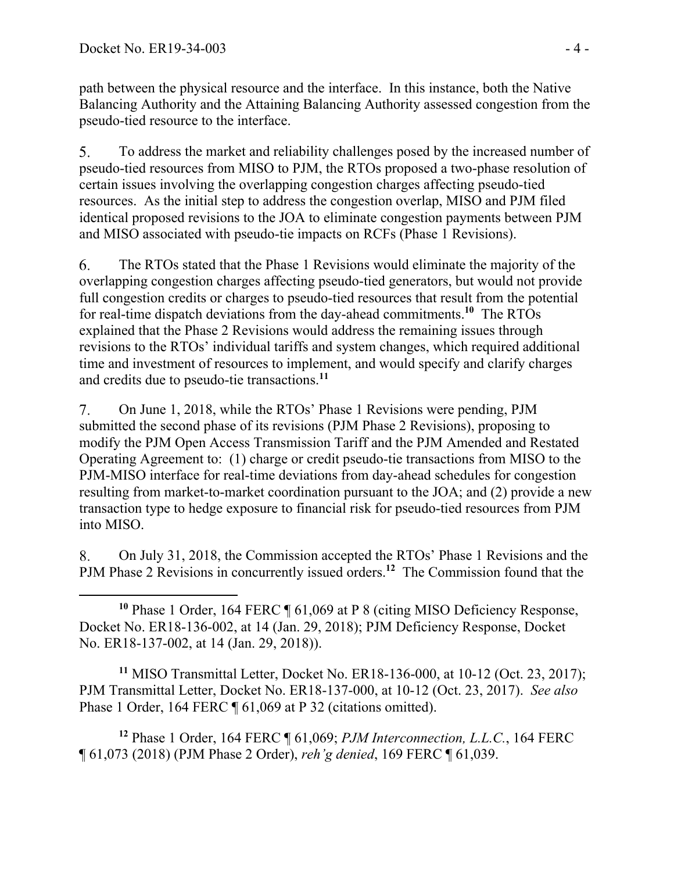path between the physical resource and the interface. In this instance, both the Native Balancing Authority and the Attaining Balancing Authority assessed congestion from the pseudo-tied resource to the interface.

5. To address the market and reliability challenges posed by the increased number of pseudo-tied resources from MISO to PJM, the RTOs proposed a two-phase resolution of certain issues involving the overlapping congestion charges affecting pseudo-tied resources. As the initial step to address the congestion overlap, MISO and PJM filed identical proposed revisions to the JOA to eliminate congestion payments between PJM and MISO associated with pseudo-tie impacts on RCFs (Phase 1 Revisions).

6. The RTOs stated that the Phase 1 Revisions would eliminate the majority of the overlapping congestion charges affecting pseudo-tied generators, but would not provide full congestion credits or charges to pseudo-tied resources that result from the potential for real-time dispatch deviations from the day-ahead commitments.**<sup>10</sup>** The RTOs explained that the Phase 2 Revisions would address the remaining issues through revisions to the RTOs' individual tariffs and system changes, which required additional time and investment of resources to implement, and would specify and clarify charges and credits due to pseudo-tie transactions.**<sup>11</sup>**

 $7.$ On June 1, 2018, while the RTOs' Phase 1 Revisions were pending, PJM submitted the second phase of its revisions (PJM Phase 2 Revisions), proposing to modify the PJM Open Access Transmission Tariff and the PJM Amended and Restated Operating Agreement to: (1) charge or credit pseudo-tie transactions from MISO to the PJM-MISO interface for real-time deviations from day-ahead schedules for congestion resulting from market-to-market coordination pursuant to the JOA; and (2) provide a new transaction type to hedge exposure to financial risk for pseudo-tied resources from PJM into MISO.

On July 31, 2018, the Commission accepted the RTOs' Phase 1 Revisions and the 8. PJM Phase 2 Revisions in concurrently issued orders.**<sup>12</sup>** The Commission found that the

 $\overline{a}$ **<sup>10</sup>** Phase 1 Order, 164 FERC ¶ 61,069 at P 8 (citing MISO Deficiency Response, Docket No. ER18-136-002, at 14 (Jan. 29, 2018); PJM Deficiency Response, Docket No. ER18-137-002, at 14 (Jan. 29, 2018)).

**<sup>11</sup>** MISO Transmittal Letter, Docket No. ER18-136-000, at 10-12 (Oct. 23, 2017); PJM Transmittal Letter, Docket No. ER18-137-000, at 10-12 (Oct. 23, 2017). *See also* Phase 1 Order, 164 FERC ¶ 61,069 at P 32 (citations omitted).

**<sup>12</sup>** Phase 1 Order, 164 FERC ¶ 61,069; *PJM Interconnection, L.L.C.*, 164 FERC ¶ 61,073 (2018) (PJM Phase 2 Order), *reh'g denied*, 169 FERC ¶ 61,039.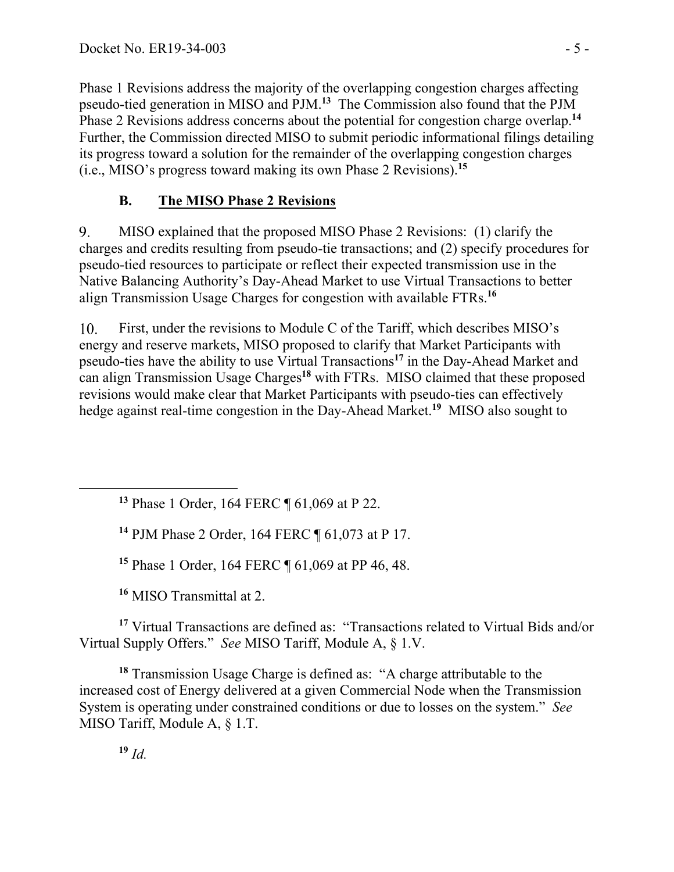Phase 1 Revisions address the majority of the overlapping congestion charges affecting pseudo-tied generation in MISO and PJM.**<sup>13</sup>** The Commission also found that the PJM Phase 2 Revisions address concerns about the potential for congestion charge overlap.**<sup>14</sup>** Further, the Commission directed MISO to submit periodic informational filings detailing its progress toward a solution for the remainder of the overlapping congestion charges (i.e., MISO's progress toward making its own Phase 2 Revisions).**<sup>15</sup>**

## **B. The MISO Phase 2 Revisions**

9. MISO explained that the proposed MISO Phase 2 Revisions: (1) clarify the charges and credits resulting from pseudo-tie transactions; and (2) specify procedures for pseudo-tied resources to participate or reflect their expected transmission use in the Native Balancing Authority's Day-Ahead Market to use Virtual Transactions to better align Transmission Usage Charges for congestion with available FTRs.**<sup>16</sup>**

First, under the revisions to Module C of the Tariff, which describes MISO's 10. energy and reserve markets, MISO proposed to clarify that Market Participants with pseudo-ties have the ability to use Virtual Transactions**<sup>17</sup>** in the Day-Ahead Market and can align Transmission Usage Charges**<sup>18</sup>** with FTRs. MISO claimed that these proposed revisions would make clear that Market Participants with pseudo-ties can effectively hedge against real-time congestion in the Day-Ahead Market.**<sup>19</sup>** MISO also sought to

**<sup>13</sup>** Phase 1 Order, 164 FERC ¶ 61,069 at P 22.

**<sup>14</sup>** PJM Phase 2 Order, 164 FERC ¶ 61,073 at P 17.

**<sup>15</sup>** Phase 1 Order, 164 FERC ¶ 61,069 at PP 46, 48.

**<sup>16</sup>** MISO Transmittal at 2.

**<sup>17</sup>** Virtual Transactions are defined as: "Transactions related to Virtual Bids and/or Virtual Supply Offers." *See* MISO Tariff, Module A, § 1.V.

**<sup>18</sup>** Transmission Usage Charge is defined as: "A charge attributable to the increased cost of Energy delivered at a given Commercial Node when the Transmission System is operating under constrained conditions or due to losses on the system." *See* MISO Tariff, Module A, § 1.T.

**<sup>19</sup>** *Id.*

 $\overline{a}$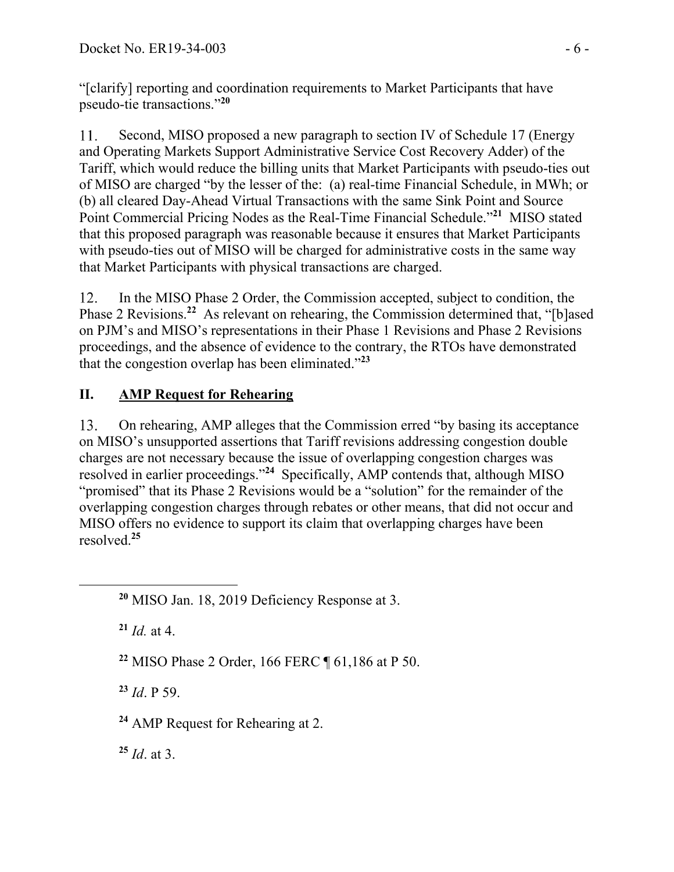"[clarify] reporting and coordination requirements to Market Participants that have pseudo-tie transactions."**<sup>20</sup>**

Second, MISO proposed a new paragraph to section IV of Schedule 17 (Energy  $11$ and Operating Markets Support Administrative Service Cost Recovery Adder) of the Tariff, which would reduce the billing units that Market Participants with pseudo-ties out of MISO are charged "by the lesser of the: (a) real-time Financial Schedule, in MWh; or (b) all cleared Day-Ahead Virtual Transactions with the same Sink Point and Source Point Commercial Pricing Nodes as the Real-Time Financial Schedule."**<sup>21</sup>** MISO stated that this proposed paragraph was reasonable because it ensures that Market Participants with pseudo-ties out of MISO will be charged for administrative costs in the same way that Market Participants with physical transactions are charged.

12. In the MISO Phase 2 Order, the Commission accepted, subject to condition, the Phase 2 Revisions.**<sup>22</sup>** As relevant on rehearing, the Commission determined that, "[b]ased on PJM's and MISO's representations in their Phase 1 Revisions and Phase 2 Revisions proceedings, and the absence of evidence to the contrary, the RTOs have demonstrated that the congestion overlap has been eliminated."**<sup>23</sup>**

# **II. AMP Request for Rehearing**

13. On rehearing, AMP alleges that the Commission erred "by basing its acceptance on MISO's unsupported assertions that Tariff revisions addressing congestion double charges are not necessary because the issue of overlapping congestion charges was resolved in earlier proceedings."**<sup>24</sup>** Specifically, AMP contends that, although MISO "promised" that its Phase 2 Revisions would be a "solution" for the remainder of the overlapping congestion charges through rebates or other means, that did not occur and MISO offers no evidence to support its claim that overlapping charges have been resolved.**<sup>25</sup>**

**<sup>21</sup>** *Id.* at 4.

 $\overline{a}$ 

**<sup>22</sup>** MISO Phase 2 Order, 166 FERC ¶ 61,186 at P 50.

**<sup>23</sup>** *Id*. P 59.

**<sup>24</sup>** AMP Request for Rehearing at 2.

**<sup>25</sup>** *Id*. at 3.

**<sup>20</sup>** MISO Jan. 18, 2019 Deficiency Response at 3.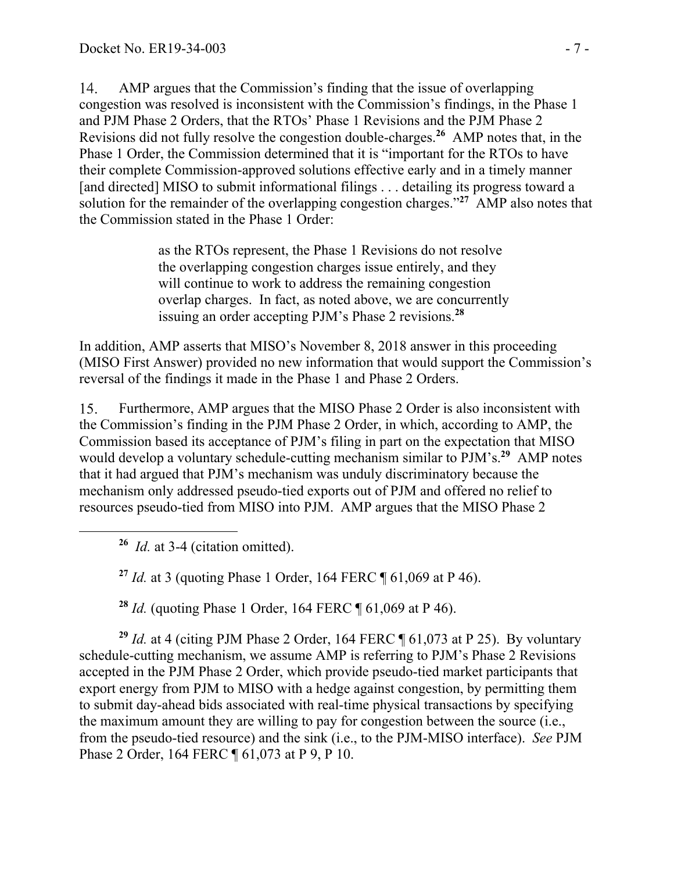$14<sub>1</sub>$ AMP argues that the Commission's finding that the issue of overlapping congestion was resolved is inconsistent with the Commission's findings, in the Phase 1 and PJM Phase 2 Orders, that the RTOs' Phase 1 Revisions and the PJM Phase 2 Revisions did not fully resolve the congestion double-charges.**26** AMP notes that, in the Phase 1 Order, the Commission determined that it is "important for the RTOs to have their complete Commission-approved solutions effective early and in a timely manner [and directed] MISO to submit informational filings . . . detailing its progress toward a solution for the remainder of the overlapping congestion charges."**<sup>27</sup>** AMP also notes that the Commission stated in the Phase 1 Order:

> as the RTOs represent, the Phase 1 Revisions do not resolve the overlapping congestion charges issue entirely, and they will continue to work to address the remaining congestion overlap charges. In fact, as noted above, we are concurrently issuing an order accepting PJM's Phase 2 revisions.**<sup>28</sup>**

In addition, AMP asserts that MISO's November 8, 2018 answer in this proceeding (MISO First Answer) provided no new information that would support the Commission's reversal of the findings it made in the Phase 1 and Phase 2 Orders.

 $15.$ Furthermore, AMP argues that the MISO Phase 2 Order is also inconsistent with the Commission's finding in the PJM Phase 2 Order, in which, according to AMP, the Commission based its acceptance of PJM's filing in part on the expectation that MISO would develop a voluntary schedule-cutting mechanism similar to PJM's.**<sup>29</sup>** AMP notes that it had argued that PJM's mechanism was unduly discriminatory because the mechanism only addressed pseudo-tied exports out of PJM and offered no relief to resources pseudo-tied from MISO into PJM. AMP argues that the MISO Phase 2

**<sup>26</sup>** *Id.* at 3-4 (citation omitted).

 $\overline{a}$ 

**<sup>27</sup>** *Id.* at 3 (quoting Phase 1 Order, 164 FERC ¶ 61,069 at P 46).

**<sup>28</sup>** *Id.* (quoting Phase 1 Order, 164 FERC ¶ 61,069 at P 46).

**<sup>29</sup>** *Id.* at 4 (citing PJM Phase 2 Order, 164 FERC ¶ 61,073 at P 25). By voluntary schedule-cutting mechanism, we assume AMP is referring to PJM's Phase 2 Revisions accepted in the PJM Phase 2 Order, which provide pseudo-tied market participants that export energy from PJM to MISO with a hedge against congestion, by permitting them to submit day-ahead bids associated with real-time physical transactions by specifying the maximum amount they are willing to pay for congestion between the source (i.e., from the pseudo-tied resource) and the sink (i.e., to the PJM-MISO interface). *See* PJM Phase 2 Order, 164 FERC ¶ 61,073 at P 9, P 10.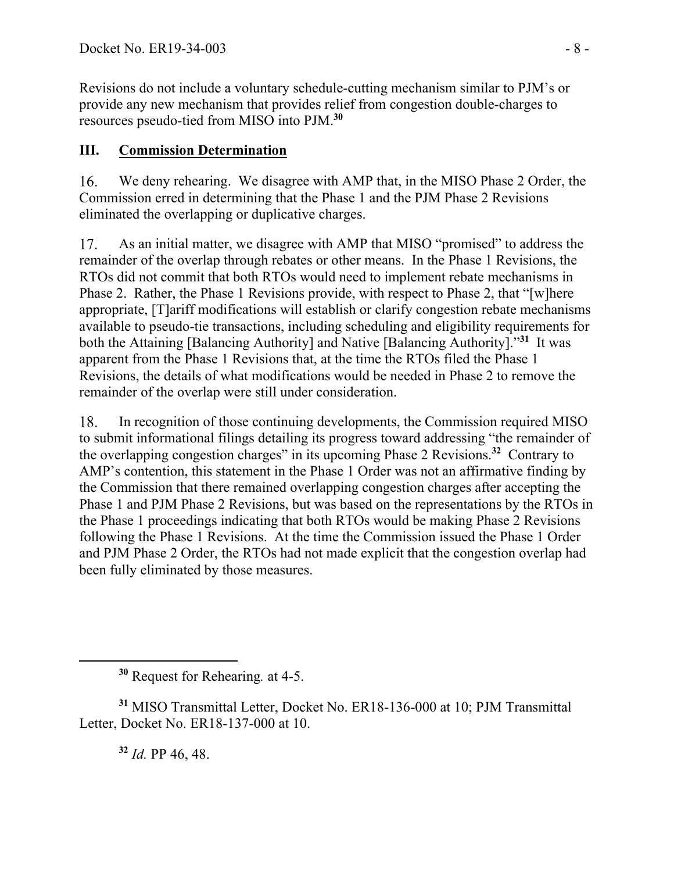Revisions do not include a voluntary schedule-cutting mechanism similar to PJM's or provide any new mechanism that provides relief from congestion double-charges to resources pseudo-tied from MISO into PJM.**<sup>30</sup>**

## **III. Commission Determination**

16. We deny rehearing. We disagree with AMP that, in the MISO Phase 2 Order, the Commission erred in determining that the Phase 1 and the PJM Phase 2 Revisions eliminated the overlapping or duplicative charges.

 $17<sub>1</sub>$ As an initial matter, we disagree with AMP that MISO "promised" to address the remainder of the overlap through rebates or other means. In the Phase 1 Revisions, the RTOs did not commit that both RTOs would need to implement rebate mechanisms in Phase 2. Rather, the Phase 1 Revisions provide, with respect to Phase 2, that "[w]here appropriate, [T]ariff modifications will establish or clarify congestion rebate mechanisms available to pseudo-tie transactions, including scheduling and eligibility requirements for both the Attaining [Balancing Authority] and Native [Balancing Authority]."**<sup>31</sup>** It was apparent from the Phase 1 Revisions that, at the time the RTOs filed the Phase 1 Revisions, the details of what modifications would be needed in Phase 2 to remove the remainder of the overlap were still under consideration.

In recognition of those continuing developments, the Commission required MISO 18. to submit informational filings detailing its progress toward addressing "the remainder of the overlapping congestion charges" in its upcoming Phase 2 Revisions.**<sup>32</sup>** Contrary to AMP's contention, this statement in the Phase 1 Order was not an affirmative finding by the Commission that there remained overlapping congestion charges after accepting the Phase 1 and PJM Phase 2 Revisions, but was based on the representations by the RTOs in the Phase 1 proceedings indicating that both RTOs would be making Phase 2 Revisions following the Phase 1 Revisions. At the time the Commission issued the Phase 1 Order and PJM Phase 2 Order, the RTOs had not made explicit that the congestion overlap had been fully eliminated by those measures.

**<sup>32</sup>** *Id.* PP 46, 48.

 $\overline{a}$ 

**<sup>30</sup>** Request for Rehearing*.* at 4-5.

**<sup>31</sup>** MISO Transmittal Letter, Docket No. ER18-136-000 at 10; PJM Transmittal Letter, Docket No. ER18-137-000 at 10.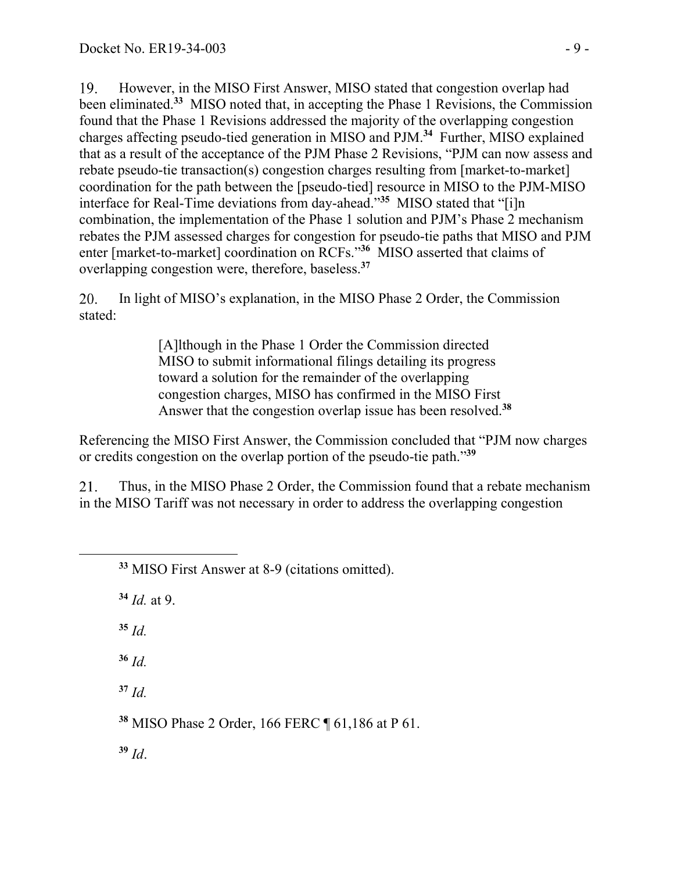However, in the MISO First Answer, MISO stated that congestion overlap had  $19<sub>1</sub>$ been eliminated.**<sup>33</sup>** MISO noted that, in accepting the Phase 1 Revisions, the Commission found that the Phase 1 Revisions addressed the majority of the overlapping congestion charges affecting pseudo-tied generation in MISO and PJM.**<sup>34</sup>** Further, MISO explained that as a result of the acceptance of the PJM Phase 2 Revisions, "PJM can now assess and rebate pseudo-tie transaction(s) congestion charges resulting from [market-to-market] coordination for the path between the [pseudo-tied] resource in MISO to the PJM-MISO interface for Real-Time deviations from day-ahead."**<sup>35</sup>** MISO stated that "[i]n combination, the implementation of the Phase 1 solution and PJM's Phase 2 mechanism rebates the PJM assessed charges for congestion for pseudo-tie paths that MISO and PJM enter [market-to-market] coordination on RCFs."**<sup>36</sup>** MISO asserted that claims of overlapping congestion were, therefore, baseless.**<sup>37</sup>**

In light of MISO's explanation, in the MISO Phase 2 Order, the Commission 20. stated:

> [A]lthough in the Phase 1 Order the Commission directed MISO to submit informational filings detailing its progress toward a solution for the remainder of the overlapping congestion charges, MISO has confirmed in the MISO First Answer that the congestion overlap issue has been resolved.**<sup>38</sup>**

Referencing the MISO First Answer, the Commission concluded that "PJM now charges or credits congestion on the overlap portion of the pseudo-tie path."**<sup>39</sup>**

Thus, in the MISO Phase 2 Order, the Commission found that a rebate mechanism 21. in the MISO Tariff was not necessary in order to address the overlapping congestion

**<sup>34</sup>** *Id.* at 9.

 $35$  *Id.* 

 $\overline{a}$ 

**<sup>36</sup>** *Id.*

**<sup>37</sup>** *Id.*

**<sup>38</sup>** MISO Phase 2 Order, 166 FERC ¶ 61,186 at P 61.

**<sup>39</sup>** *Id*.

**<sup>33</sup>** MISO First Answer at 8-9 (citations omitted).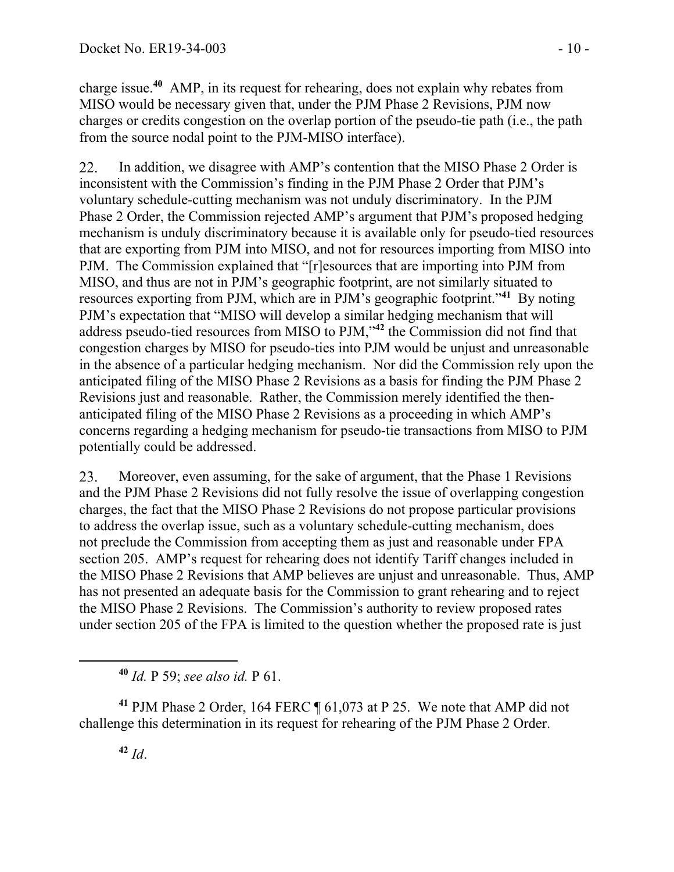charge issue.**<sup>40</sup>** AMP, in its request for rehearing, does not explain why rebates from MISO would be necessary given that, under the PJM Phase 2 Revisions, PJM now charges or credits congestion on the overlap portion of the pseudo-tie path (i.e., the path from the source nodal point to the PJM-MISO interface).

22. In addition, we disagree with AMP's contention that the MISO Phase 2 Order is inconsistent with the Commission's finding in the PJM Phase 2 Order that PJM's voluntary schedule-cutting mechanism was not unduly discriminatory. In the PJM Phase 2 Order, the Commission rejected AMP's argument that PJM's proposed hedging mechanism is unduly discriminatory because it is available only for pseudo-tied resources that are exporting from PJM into MISO, and not for resources importing from MISO into PJM. The Commission explained that "[r]esources that are importing into PJM from MISO, and thus are not in PJM's geographic footprint, are not similarly situated to resources exporting from PJM, which are in PJM's geographic footprint."**<sup>41</sup>** By noting PJM's expectation that "MISO will develop a similar hedging mechanism that will address pseudo-tied resources from MISO to PJM,"**<sup>42</sup>** the Commission did not find that congestion charges by MISO for pseudo-ties into PJM would be unjust and unreasonable in the absence of a particular hedging mechanism. Nor did the Commission rely upon the anticipated filing of the MISO Phase 2 Revisions as a basis for finding the PJM Phase 2 Revisions just and reasonable. Rather, the Commission merely identified the thenanticipated filing of the MISO Phase 2 Revisions as a proceeding in which AMP's concerns regarding a hedging mechanism for pseudo-tie transactions from MISO to PJM potentially could be addressed.

23. Moreover, even assuming, for the sake of argument, that the Phase 1 Revisions and the PJM Phase 2 Revisions did not fully resolve the issue of overlapping congestion charges, the fact that the MISO Phase 2 Revisions do not propose particular provisions to address the overlap issue, such as a voluntary schedule-cutting mechanism, does not preclude the Commission from accepting them as just and reasonable under FPA section 205. AMP's request for rehearing does not identify Tariff changes included in the MISO Phase 2 Revisions that AMP believes are unjust and unreasonable. Thus, AMP has not presented an adequate basis for the Commission to grant rehearing and to reject the MISO Phase 2 Revisions. The Commission's authority to review proposed rates under section 205 of the FPA is limited to the question whether the proposed rate is just

**<sup>40</sup>** *Id.* P 59; *see also id.* P 61.

**<sup>41</sup>** PJM Phase 2 Order, 164 FERC ¶ 61,073 at P 25. We note that AMP did not challenge this determination in its request for rehearing of the PJM Phase 2 Order.

 $\overline{a}$